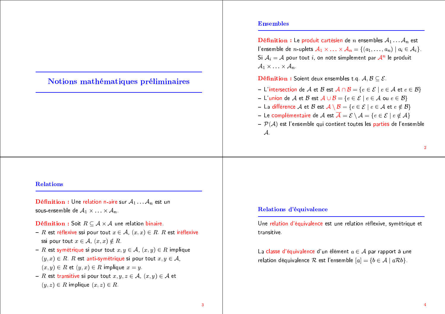# Notions mathématiques préliminaires

## **Ensembles**

**Définition :** Le produit cartésien de *n* ensembles  $A_1 \dots A_n$  est l'ensemble de *n*-uplets  $A_1 \times ... \times A_n = \{(a_1,..., a_n) \mid a_i \in A_i\}.$ Si  $A_i = A$  pour tout i, on note simplement par  $A^n$  le produit  $A_1 \times \ldots \times A_n$ 

**Définition :** Soient deux ensembles t.g.  $A, B \subseteq \mathcal{E}$ .

- L'intersection de A et B est  $A \cap B = \{e \in \mathcal{E} \mid e \in A \text{ et } e \in B\}$
- L'union de A et B est  $A \cup B = \{e \in \mathcal{E} \mid e \in A \text{ ou } e \in B\}$
- La différence A et B est  $A \setminus B = \{e \in \mathcal{E} \mid e \in A \text{ et } e \notin B\}$
- Le complémentaire de  $\mathcal A$  est  $\overline{\mathcal A} = \mathcal E \setminus \mathcal A = \{e \in \mathcal E \mid e \notin \mathcal A\}$
- $-\mathcal{P}(\mathcal{A})$  est l'ensemble qui contient toutes les parties de l'ensemble  $\mathcal{A}$

**Définition :** Une relation n-aire sur  $A_1 \dots A_n$  est un sous-ensemble de  $A_1 \times \ldots \times A_n$ .

**Définition :** Soit  $R \subseteq A \times A$  une relation binaire.

- R est réflexive ssi pour tout  $x \in A$ ,  $(x, x) \in R$ . R est iréflexive ssi pour tout  $x \in A$ ,  $(x, x) \notin R$ .
- R est symétrique si pour tout  $x, y \in A$ ,  $(x, y) \in R$  implique  $(y, x) \in R$ . R est anti-symétrique si pour tout  $x, y \in A$ ,  $(x, y) \in R$  et  $(y, x) \in R$  implique  $x = y$ .
- R est transitive si pour tout  $x, y, z \in A$ ,  $(x, y) \in A$  et  $(y, z) \in R$  implique  $(x, z) \in R$ .

## Relations d'équivalence

Une relation d'équivalence est une relation réflexive, symétrique et transitive

La classe d'équivalence d'un élément  $a \in \mathcal{A}$  par rapport à une relation déquivalence  $R$  est l'ensemble  $[a] = \{b \in A \mid aRb\}.$ 

 $\mathbf{3}$ 

 $\overline{2}$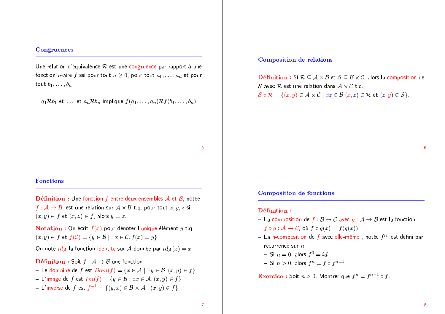### **Congruences**

Une relation d'équivalence  $R$  est une congruence par rapport à une fonction *n*-aire f ssi pour tout  $n > 0$ , pour tout  $a_1, \ldots, a_n$  et pour tout  $b_1, \ldots, b_n$ 

 $a_1 \mathcal{R} b_1$  et ... et  $a_n \mathcal{R} b_n$  implique  $f(a_1, \ldots, a_n) \mathcal{R} f(b_1, \ldots, b_n)$ 

## **Composition de relations**

**Définition** : Si  $\mathcal{R} \subset \mathcal{A} \times \mathcal{B}$  et  $\mathcal{S} \subset \mathcal{B} \times \mathcal{C}$ , alors la composition de S avec R est une relation dans  $A \times C$  t.g.  $S \circ \mathcal{R} = \{(x, y) \in \mathcal{A} \times \mathcal{C} \mid \exists z \in \mathcal{B} (x, z) \in \mathcal{R} \text{ et } (z, y) \in \mathcal{S}\}.$ 

 $6<sup>1</sup>$ 

## **Fonctions**

**Définition :** Une fonction f entre deux ensembles  $A$  et  $B$ , notée  $f: \mathcal{A} \to \mathcal{B}$ , est une relation sur  $\mathcal{A} \times \mathcal{B}$  t.g. pour tout  $x, y, z$  si  $(x, y) \in f$  et  $(x, z) \in f$ , alors  $y = z$ .

**Notation :** On écrit  $f(x)$  pour dénoter l'unique élément y t.q.  $(x, y) \in f$  et  $f(\mathcal{C}) = \{y \in \mathcal{B} \mid \exists x \in \mathcal{C}, f(x) = y\}.$ 

On note  $id_A$  la fonction identité sur A donnée par  $id_A(x) = x$ .

**Définition :** Soit  $f : A \rightarrow B$  une fonction.

- Le domaine de  $f$  est  $Dom(f) = \{x \in A \mid \exists y \in B, (x, y) \in f\}$
- L'image de f est  $Im(f) = \{y \in \mathcal{B} \mid \exists x \in \mathcal{A}, (x, y) \in f\}$
- L'inverse de  $f$  est  $f^{-1} = \{(y, x) \in \mathcal{B} \times \mathcal{A} \mid (x, y) \in f\}$

**Composition de fonctions** 

#### Définition:

- La composition de  $f : \mathcal{B} \to \mathcal{C}$  avec  $q : \mathcal{A} \to \mathcal{B}$  est la fonction  $f \circ q : \mathcal{A} \to \mathcal{C}$ , où  $f \circ q(x) = f(q(x))$ .
- La n-composition de f avec elle-même, notée  $f^n$ , est défini par récurrence sur  $n$  :

- Si 
$$
n = 0
$$
, alors  $f^0 = id$ 

- Si  $n > 0$ , alors  $f^n = f \circ f^{n-1}$ 

**Exercice :** Soit  $n > 0$ . Montrer que  $f^n = f^{n-1} \circ f$ .

 $5^{\circ}$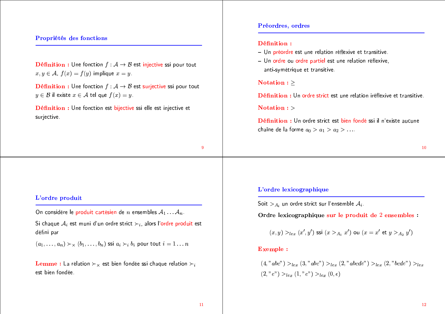## Propriétés des fonctions

**Définition :** Une fonction  $f : A \rightarrow B$  est injective ssi pour tout  $x, y \in A$ ,  $f(x) = f(y)$  implique  $x = y$ .

**Définition :** Une fonction  $f : A \rightarrow B$  est surjective ssi pour tout  $y \in \mathcal{B}$  il existe  $x \in \mathcal{A}$  tel que  $f(x) = y$ .

Définition : Une fonction est bijective ssi elle est injective et surjective.

### Préordres, ordres

#### Définition:

- Un préordre est une relation réflexive et transitive.
- Un ordre ou ordre partiel est une relation réflexive, anti-symétrique et transitive.

## Notation :  $\geq$

Définition : Un ordre strict est une relation iréflexive et transitive.

### Notation :  $>$

Définition : Un ordre strict est bien fondé ssi il n'existe aucune chaîne de la forme  $a_0 > a_1 > a_2 > \ldots$ 

9

## L'ordre produit

On considère le produit cartésien de n ensembles  $A_1 \dots A_n$ .

Si chaque  $A_i$  est muni d'un ordre strict  $\succ_i$ , alors l'ordre produit est défini par

 $(a_1, \ldots, a_n) \succ_{\times} (b_1, \ldots, b_n)$  ssi  $a_i \succ_i b_i$  pour tout  $i = 1 \ldots n$ 

**Lemme :** La rélation  $\succ_{\times}$  est bien fondée ssi chaque relation  $\succ_i$ est bien fondée.

## L'ordre lexicographique

Soit  $>_{A_i}$  un ordre strict sur l'ensemble  $A_i$ .

Ordre lexicographique sur le produit de 2 ensembles :

$$
(x,y) >_{lex} (x',y') \text{ ssi } (x >_{A_1} x') \text{ ou } (x = x' \text{ et } y >_{A_2} y')
$$

### **Exemple**:

 $(4, "abc") >_{lex} (3, "abc") >_{lex} (2, "abcde") >_{lex} (2, "bcde") >_{lex}$  $(2, "e")>_{lex}(1, "e")>_{lex}(0, \epsilon)$ 

 $10$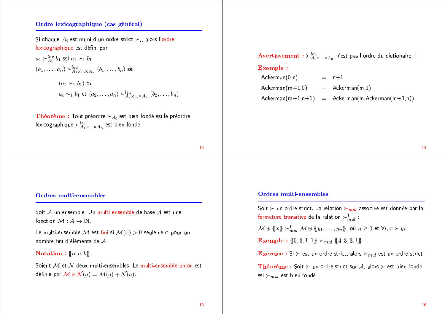## Ordre lexicographique (cas général)

Si chaque  $A_i$  est muni d'un ordre strict  $\succ_i$ , alors l'ordre lexicographique est défini par

 $a_1 \succ_{A_1}^{lex} b_1$  ssi  $a_1 \succ_1 b_1$  $(a_1, \ldots, a_n) \succ_{A_1 \times \ldots \times A_n}^{lex} (b_1, \ldots, b_n)$  ssi  $(a_1 \succ_1 b_1)$  ou  $a_1 \sim_1 b_1$  et  $(a_2, \ldots, a_n) \succ_{A_2}^{lex} (b_2, \ldots, b_n)$ 

**Théorème :** Tout préordre  $\succ_{A_i}$  est bien fondé ssi le préordre lexicographique  $\succ_{A_1 \times ... \times A_n}^{lex}$  est bien fondé.

13

#### Avertissement :  $\succ^{lex}_{A_1 \times ... \times A_n}$  n'est pas l'ordre du dictionaire!! **Exemple:**  $Acknowledron(0, n)$  $=$   $n+1$  $=$  Ackerman(m, 1)  $Ackerman(m+1,0)$

 $Ackerman(m+1,n+1) = Ackerman(m,Ackerman(m+1,n))$ 

#### 14

## Ordres multi-ensembles

Soit  $A$  un ensemble. Un multi-ensemble de base  $A$  est une fonction  $\mathcal{M} : \mathcal{A} \to \mathbb{N}$ .

Le multi-ensemble M est fini si  $M(x) > 0$  seulement pour un nombre fini d'éléments de  $A$ .

Notation :  ${a, a, b}$ .

Soient M et N deux multi-ensembles. Le multi-ensemble union est définie par  $\mathcal{M} \oplus \mathcal{N}(a) = \mathcal{M}(a) + \mathcal{N}(a)$ .

## **Ordres multi-ensembles**

Soit  $\succ$  un ordre strict. La relation  $\succ_{mul}$  associée est donnée par la fermeture transitive de la relation  $\succ_{mul}^1$ :

 $\mathcal{M} \oplus \{x\} \succ_{mnl}^1 \mathcal{M} \oplus \{y_1, \ldots, y_n\}$ , où  $n \geq 0$  et  $\forall i, x \succ y_i$ .

**Exemple :**  $\{5, 3, 1, 1\}$   $\succ_{mul}$   $\{4, 3, 3, 1\}$ .

**Exercice :** Si  $\succ$  est un ordre strict, alors  $\succ_{mul}$  est un ordre strict.

Théorème : Soit  $\succ$  un ordre strict sur A, alors  $\succ$  est bien fondé ssi  $\succ_{mul}$  est bien fondé.